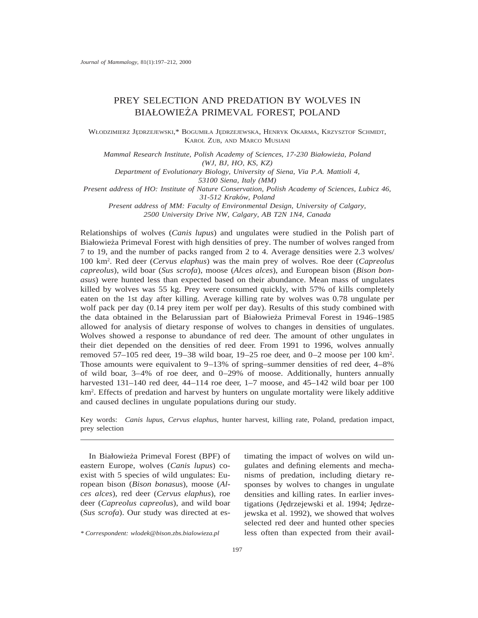# PREY SELECTION AND PREDATION BY WOLVES IN BIAŁOWIEŻA PRIMEVAL FOREST, POLAND

WŁODZIMIERZ JEDRZEJEWSKI,\* BOGUMIŁA JEDRZEJEWSKA, HENRYK OKARMA, KRZYSZTOF SCHMIDT, KAROL ZUB, AND MARCO MUSIANI

*Mammal Research Institute, Polish Academy of Sciences, 17-230 Białowiez˙a, Poland (WJ, BJ, HO, KS, KZ)*

*Department of Evolutionary Biology, University of Siena, Via P.A. Mattioli 4, 53100 Siena, Italy (MM)*

*Present address of HO: Institute of Nature Conservation, Polish Academy of Sciences, Lubicz 46,*

*31-512 Krako´w, Poland Present address of MM: Faculty of Environmental Design, University of Calgary, 2500 University Drive NW, Calgary, AB T2N 1N4, Canada*

Relationships of wolves (*Canis lupus*) and ungulates were studied in the Polish part of Białowieża Primeval Forest with high densities of prey. The number of wolves ranged from 7 to 19, and the number of packs ranged from 2 to 4. Average densities were 2.3 wolves/ 100 km2. Red deer (*Cervus elaphus*) was the main prey of wolves. Roe deer (*Capreolus capreolus*), wild boar (*Sus scrofa*), moose (*Alces alces*), and European bison (*Bison bonasus*) were hunted less than expected based on their abundance. Mean mass of ungulates killed by wolves was 55 kg. Prey were consumed quickly, with 57% of kills completely eaten on the 1st day after killing. Average killing rate by wolves was 0.78 ungulate per wolf pack per day (0.14 prey item per wolf per day). Results of this study combined with the data obtained in the Belarussian part of Białowieża Primeval Forest in 1946–1985 allowed for analysis of dietary response of wolves to changes in densities of ungulates. Wolves showed a response to abundance of red deer. The amount of other ungulates in their diet depended on the densities of red deer. From 1991 to 1996, wolves annually removed 57–105 red deer, 19–38 wild boar, 19–25 roe deer, and 0–2 moose per 100 km2. Those amounts were equivalent to 9–13% of spring–summer densities of red deer, 4–8% of wild boar, 3–4% of roe deer, and 0–29% of moose. Additionally, hunters annually harvested 131–140 red deer, 44–114 roe deer, 1–7 moose, and 45–142 wild boar per 100 km2. Effects of predation and harvest by hunters on ungulate mortality were likely additive and caused declines in ungulate populations during our study.

Key words: *Canis lupus*, *Cervus elaphus*, hunter harvest, killing rate, Poland, predation impact, prey selection

In Białowieża Primeval Forest (BPF) of eastern Europe, wolves (*Canis lupus*) coexist with 5 species of wild ungulates: European bison (*Bison bonasus*), moose (*Alces alces*), red deer (*Cervus elaphus*), roe deer (*Capreolus capreolus*), and wild boar (*Sus scrofa*). Our study was directed at es-

*\* Correspondent: wlodek@bison.zbs.bialowieza.pl*

timating the impact of wolves on wild ungulates and defining elements and mechanisms of predation, including dietary responses by wolves to changes in ungulate densities and killing rates. In earlier investigations (Jędrzejewski et al. 1994; Jędrzejewska et al. 1992), we showed that wolves selected red deer and hunted other species less often than expected from their avail-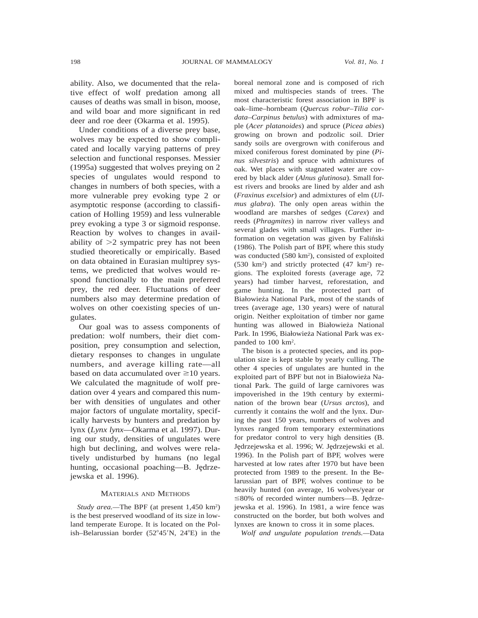ability. Also, we documented that the relative effect of wolf predation among all causes of deaths was small in bison, moose, and wild boar and more significant in red deer and roe deer (Okarma et al. 1995).

Under conditions of a diverse prey base, wolves may be expected to show complicated and locally varying patterns of prey selection and functional responses. Messier (1995a) suggested that wolves preying on 2 species of ungulates would respond to changes in numbers of both species, with a more vulnerable prey evoking type 2 or asymptotic response (according to classification of Holling 1959) and less vulnerable prey evoking a type 3 or sigmoid response. Reaction by wolves to changes in availability of  $\geq 2$  sympatric prey has not been studied theoretically or empirically. Based on data obtained in Eurasian multiprey systems, we predicted that wolves would respond functionally to the main preferred prey, the red deer. Fluctuations of deer numbers also may determine predation of wolves on other coexisting species of ungulates.

Our goal was to assess components of predation: wolf numbers, their diet composition, prey consumption and selection, dietary responses to changes in ungulate numbers, and average killing rate—all based on data accumulated over  $\geq$ 10 years. We calculated the magnitude of wolf predation over 4 years and compared this number with densities of ungulates and other major factors of ungulate mortality, specifically harvests by hunters and predation by lynx (*Lynx lynx*—Okarma et al. 1997). During our study, densities of ungulates were high but declining, and wolves were relatively undisturbed by humans (no legal hunting, occasional poaching—B. Jędrzejewska et al. 1996).

#### MATERIALS AND METHODS

*Study area.—*The BPF (at present 1,450 km2) is the best preserved woodland of its size in lowland temperate Europe. It is located on the Polish–Belarussian border  $(52^{\circ}45'N, 24^{\circ}E)$  in the boreal nemoral zone and is composed of rich mixed and multispecies stands of trees. The most characteristic forest association in BPF is oak–lime–hornbeam (*Quercus robur–Tilia cordata–Carpinus betulus*) with admixtures of maple (*Acer platanoides*) and spruce (*Picea abies*) growing on brown and podzolic soil. Drier sandy soils are overgrown with coniferous and mixed coniferous forest dominated by pine (*Pinus silvestris*) and spruce with admixtures of oak. Wet places with stagnated water are covered by black alder (*Alnus glutinosa*). Small forest rivers and brooks are lined by alder and ash (*Fraxinus excelsior*) and admixtures of elm (*Ulmus glabra*). The only open areas within the woodland are marshes of sedges (*Carex*) and reeds (*Phragmites*) in narrow river valleys and several glades with small villages. Further information on vegetation was given by Faliński (1986). The Polish part of BPF, where this study was conducted (580 km<sup>2</sup>), consisted of exploited  $(530 \text{ km}^2)$  and strictly protected  $(47 \text{ km}^2)$  regions. The exploited forests (average age, 72 years) had timber harvest, reforestation, and game hunting. In the protected part of Białowieża National Park, most of the stands of trees (average age, 130 years) were of natural origin. Neither exploitation of timber nor game hunting was allowed in Białowieża National Park. In 1996, Białowieża National Park was expanded to 100 km2.

The bison is a protected species, and its population size is kept stable by yearly culling. The other 4 species of ungulates are hunted in the exploited part of BPF but not in Białowieża National Park. The guild of large carnivores was impoverished in the 19th century by extermination of the brown bear (*Ursus arctos*), and currently it contains the wolf and the lynx. During the past 150 years, numbers of wolves and lynxes ranged from temporary exterminations for predator control to very high densities (B. Jędrzejewska et al. 1996; W. Jędrzejewski et al. 1996). In the Polish part of BPF, wolves were harvested at low rates after 1970 but have been protected from 1989 to the present. In the Belarussian part of BPF, wolves continue to be heavily hunted (on average, 16 wolves/year or  $\leq$ 80% of recorded winter numbers—B. Jędrzejewska et al. 1996). In 1981, a wire fence was constructed on the border, but both wolves and lynxes are known to cross it in some places.

*Wolf and ungulate population trends.—*Data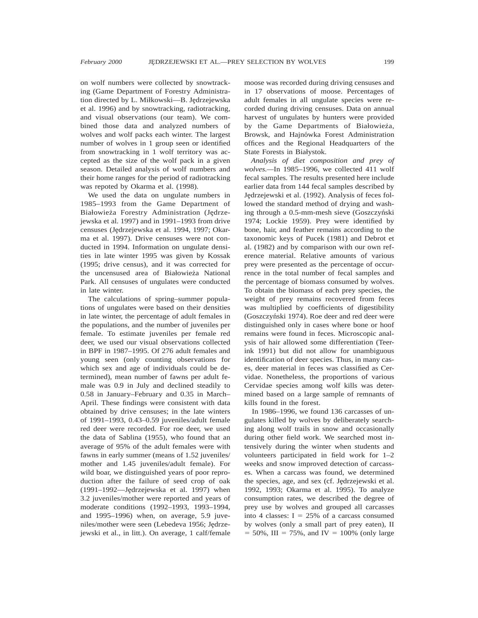on wolf numbers were collected by snowtracking (Game Department of Forestry Administration directed by L. Miłkowski—B. Jędrzejewska et al. 1996) and by snowtracking, radiotracking, and visual observations (our team). We combined those data and analyzed numbers of wolves and wolf packs each winter. The largest number of wolves in 1 group seen or identified from snowtracking in 1 wolf territory was accepted as the size of the wolf pack in a given season. Detailed analysis of wolf numbers and their home ranges for the period of radiotracking was repoted by Okarma et al. (1998).

We used the data on ungulate numbers in 1985–1993 from the Game Department of Białowieża Forestry Administration (Jędrzejewska et al. 1997) and in 1991–1993 from drive censuses (Jędrzejewska et al. 1994, 1997; Okarma et al. 1997). Drive censuses were not conducted in 1994. Information on ungulate densities in late winter 1995 was given by Kossak (1995; drive census), and it was corrected for the uncensused area of Białowieża National Park. All censuses of ungulates were conducted in late winter.

The calculations of spring–summer populations of ungulates were based on their densities in late winter, the percentage of adult females in the populations, and the number of juveniles per female. To estimate juveniles per female red deer, we used our visual observations collected in BPF in 1987–1995. Of 276 adult females and young seen (only counting observations for which sex and age of individuals could be determined), mean number of fawns per adult female was 0.9 in July and declined steadily to 0.58 in January–February and 0.35 in March– April. These findings were consistent with data obtained by drive censuses; in the late winters of 1991–1993, 0.43–0.59 juveniles/adult female red deer were recorded. For roe deer, we used the data of Sablina (1955), who found that an average of 95% of the adult females were with fawns in early summer (means of 1.52 juveniles/ mother and 1.45 juveniles/adult female). For wild boar, we distinguished years of poor reproduction after the failure of seed crop of oak (1991–1992—Jędrzejewska et al. 1997) when 3.2 juveniles/mother were reported and years of moderate conditions (1992–1993, 1993–1994, and 1995–1996) when, on average, 5.9 juveniles/mother were seen (Lebedeva 1956; Jędrzejewski et al., in litt.). On average, 1 calf/female moose was recorded during driving censuses and in 17 observations of moose. Percentages of adult females in all ungulate species were recorded during driving censuses. Data on annual harvest of ungulates by hunters were provided by the Game Departments of Białowieża, Browsk, and Hajnówka Forest Administration offices and the Regional Headquarters of the State Forests in Białystok.

*Analysis of diet composition and prey of wolves.—*In 1985–1996, we collected 411 wolf fecal samples. The results presented here include earlier data from 144 fecal samples described by Jędrzejewski et al. (1992). Analysis of feces followed the standard method of drying and washing through a 0.5-mm-mesh sieve (Goszczyński 1974; Lockie 1959). Prey were identified by bone, hair, and feather remains according to the taxonomic keys of Pucek (1981) and Debrot et al. (1982) and by comparison with our own reference material. Relative amounts of various prey were presented as the percentage of occurrence in the total number of fecal samples and the percentage of biomass consumed by wolves. To obtain the biomass of each prey species, the weight of prey remains recovered from feces was multiplied by coefficients of digestibility (Goszczyn´ski 1974). Roe deer and red deer were distinguished only in cases where bone or hoof remains were found in feces. Microscopic analysis of hair allowed some differentiation (Teerink 1991) but did not allow for unambiguous identification of deer species. Thus, in many cases, deer material in feces was classified as Cervidae. Nonetheless, the proportions of various Cervidae species among wolf kills was determined based on a large sample of remnants of kills found in the forest.

In 1986–1996, we found 136 carcasses of ungulates killed by wolves by deliberately searching along wolf trails in snow and occasionally during other field work. We searched most intensively during the winter when students and volunteers participated in field work for 1–2 weeks and snow improved detection of carcasses. When a carcass was found, we determined the species, age, and sex (cf. Jędrzejewski et al. 1992, 1993; Okarma et al. 1995). To analyze consumption rates, we described the degree of prey use by wolves and grouped all carcasses into 4 classes:  $I = 25%$  of a carcass consumed by wolves (only a small part of prey eaten), II  $= 50\%$ , III = 75%, and IV = 100% (only large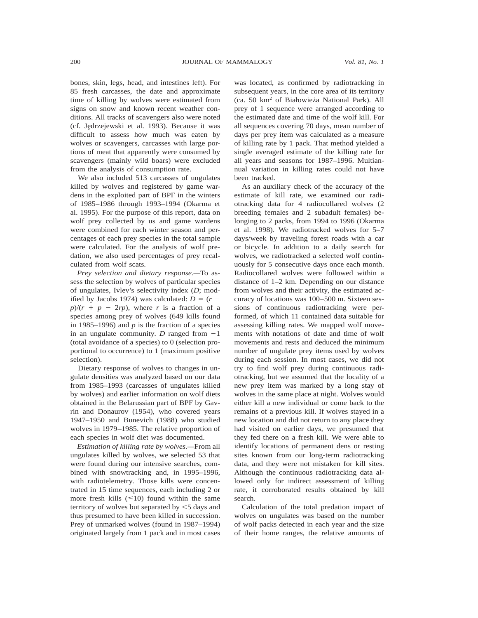bones, skin, legs, head, and intestines left). For 85 fresh carcasses, the date and approximate time of killing by wolves were estimated from signs on snow and known recent weather conditions. All tracks of scavengers also were noted (cf. Jędrzejewski et al. 1993). Because it was difficult to assess how much was eaten by wolves or scavengers, carcasses with large portions of meat that apparently were consumed by scavengers (mainly wild boars) were excluded from the analysis of consumption rate.

We also included 513 carcasses of ungulates killed by wolves and registered by game wardens in the exploited part of BPF in the winters of 1985–1986 through 1993–1994 (Okarma et al. 1995). For the purpose of this report, data on wolf prey collected by us and game wardens were combined for each winter season and percentages of each prey species in the total sample were calculated. For the analysis of wolf predation, we also used percentages of prey recalculated from wolf scats.

*Prey selection and dietary response.—*To assess the selection by wolves of particular species of ungulates, Ivlev's selectivity index (*D*; modified by Jacobs 1974) was calculated:  $D = (r$  $p$ / $(r + p - 2rp)$ , where *r* is a fraction of a species among prey of wolves (649 kills found in 1985–1996) and  $p$  is the fraction of a species in an ungulate community. *D* ranged from  $-1$ (total avoidance of a species) to 0 (selection proportional to occurrence) to 1 (maximum positive selection).

Dietary response of wolves to changes in ungulate densities was analyzed based on our data from 1985–1993 (carcasses of ungulates killed by wolves) and earlier information on wolf diets obtained in the Belarussian part of BPF by Gavrin and Donaurov (1954), who covered years 1947–1950 and Bunevich (1988) who studied wolves in 1979–1985. The relative proportion of each species in wolf diet was documented.

*Estimation of killing rate by wolves.—*From all ungulates killed by wolves, we selected 53 that were found during our intensive searches, combined with snowtracking and, in 1995–1996, with radiotelemetry. Those kills were concentrated in 15 time sequences, each including 2 or more fresh kills  $(\leq 10)$  found within the same territory of wolves but separated by  $\leq$  5 days and thus presumed to have been killed in succession. Prey of unmarked wolves (found in 1987–1994) originated largely from 1 pack and in most cases

was located, as confirmed by radiotracking in subsequent years, in the core area of its territory (ca. 50 km<sup>2</sup> of Białowieża National Park). All prey of 1 sequence were arranged according to the estimated date and time of the wolf kill. For all sequences covering 70 days, mean number of days per prey item was calculated as a measure of killing rate by 1 pack. That method yielded a single averaged estimate of the killing rate for all years and seasons for 1987–1996. Multiannual variation in killing rates could not have been tracked.

As an auxiliary check of the accuracy of the estimate of kill rate, we examined our radiotracking data for 4 radiocollared wolves (2 breeding females and 2 subadult females) belonging to 2 packs, from 1994 to 1996 (Okarma et al. 1998). We radiotracked wolves for 5–7 days/week by traveling forest roads with a car or bicycle. In addition to a daily search for wolves, we radiotracked a selected wolf continuously for 5 consecutive days once each month. Radiocollared wolves were followed within a distance of 1–2 km. Depending on our distance from wolves and their activity, the estimated accuracy of locations was 100–500 m. Sixteen sessions of continuous radiotracking were performed, of which 11 contained data suitable for assessing killing rates. We mapped wolf movements with notations of date and time of wolf movements and rests and deduced the minimum number of ungulate prey items used by wolves during each session. In most cases, we did not try to find wolf prey during continuous radiotracking, but we assumed that the locality of a new prey item was marked by a long stay of wolves in the same place at night. Wolves would either kill a new individual or come back to the remains of a previous kill. If wolves stayed in a new location and did not return to any place they had visited on earlier days, we presumed that they fed there on a fresh kill. We were able to identify locations of permanent dens or resting sites known from our long-term radiotracking data, and they were not mistaken for kill sites. Although the continuous radiotracking data allowed only for indirect assessment of killing rate, it corroborated results obtained by kill search.

Calculation of the total predation impact of wolves on ungulates was based on the number of wolf packs detected in each year and the size of their home ranges, the relative amounts of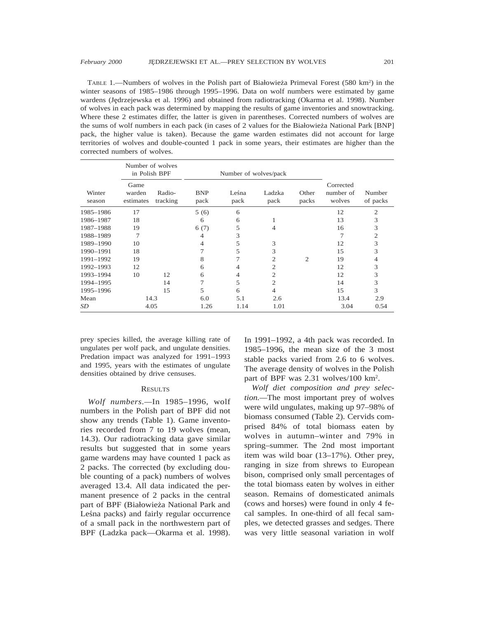TABLE 1.—Numbers of wolves in the Polish part of Białowieża Primeval Forest (580 km<sup>2</sup>) in the winter seasons of 1985–1986 through 1995–1996. Data on wolf numbers were estimated by game wardens (Jędrzejewska et al. 1996) and obtained from radiotracking (Okarma et al. 1998). Number of wolves in each pack was determined by mapping the results of game inventories and snowtracking. Where these 2 estimates differ, the latter is given in parentheses. Corrected numbers of wolves are the sums of wolf numbers in each pack (in cases of 2 values for the Białowieża National Park [BNP] pack, the higher value is taken). Because the game warden estimates did not account for large territories of wolves and double-counted 1 pack in some years, their estimates are higher than the corrected numbers of wolves.

|                  | Number of wolves<br>in Polish BPF |                    |                    | Number of wolves/pack |                |                |                                  |                    |
|------------------|-----------------------------------|--------------------|--------------------|-----------------------|----------------|----------------|----------------------------------|--------------------|
| Winter<br>season | Game<br>warden<br>estimates       | Radio-<br>tracking | <b>BNP</b><br>pack | Leśna<br>pack         | Ladzka<br>pack | Other<br>packs | Corrected<br>number of<br>wolves | Number<br>of packs |
| 1985-1986        | 17                                |                    | 5(6)               | 6                     |                |                | 12                               | $\mathfrak{2}$     |
| 1986-1987        | 18                                |                    | 6                  | 6                     | 1              |                | 13                               | 3                  |
| 1987-1988        | 19                                |                    | 6(7)               | 5                     | $\overline{4}$ |                | 16                               | 3                  |
| 1988-1989        |                                   |                    | 4                  | 3                     |                |                |                                  | 2                  |
| 1989-1990        | 10                                |                    | 4                  | 5                     | 3              |                | 12                               | 3                  |
| 1990-1991        | 18                                |                    |                    | 5                     | 3              |                | 15                               | 3                  |
| 1991-1992        | 19                                |                    | 8                  |                       | $\overline{c}$ | $\overline{c}$ | 19                               | 4                  |
| 1992-1993        | 12                                |                    | 6                  | 4                     | $\overline{2}$ |                | 12                               | 3                  |
| 1993-1994        | 10                                | 12                 | 6                  | 4                     | $\overline{2}$ |                | 12                               | 3                  |
| 1994-1995        |                                   | 14                 | 7                  | 5                     | $\overline{2}$ |                | 14                               | 3                  |
| 1995-1996        |                                   | 15                 | 5                  | 6                     | 4              |                | 15                               | 3                  |
| Mean             | 14.3                              |                    | 6.0                | 5.1                   | 2.6            |                | 13.4                             | 2.9                |
| SD               | 4.05                              |                    | 1.26               | 1.14                  | 1.01           |                | 3.04                             | 0.54               |

prey species killed, the average killing rate of ungulates per wolf pack, and ungulate densities. Predation impact was analyzed for 1991–1993 and 1995, years with the estimates of ungulate densities obtained by drive censuses.

# **RESULTS**

*Wolf numbers.—*In 1985–1996, wolf numbers in the Polish part of BPF did not show any trends (Table 1). Game inventories recorded from 7 to 19 wolves (mean, 14.3). Our radiotracking data gave similar results but suggested that in some years game wardens may have counted 1 pack as 2 packs. The corrected (by excluding double counting of a pack) numbers of wolves averaged 13.4. All data indicated the permanent presence of 2 packs in the central part of BPF (Białowieża National Park and Leśna packs) and fairly regular occurrence of a small pack in the northwestern part of BPF (Ladzka pack—Okarma et al. 1998).

In 1991–1992, a 4th pack was recorded. In 1985–1996, the mean size of the 3 most stable packs varied from 2.6 to 6 wolves. The average density of wolves in the Polish part of BPF was 2.31 wolves/100 km2.

*Wolf diet composition and prey selection.—*The most important prey of wolves were wild ungulates, making up 97–98% of biomass consumed (Table 2). Cervids comprised 84% of total biomass eaten by wolves in autumn–winter and 79% in spring–summer. The 2nd most important item was wild boar (13–17%). Other prey, ranging in size from shrews to European bison, comprised only small percentages of the total biomass eaten by wolves in either season. Remains of domesticated animals (cows and horses) were found in only 4 fecal samples. In one-third of all fecal samples, we detected grasses and sedges. There was very little seasonal variation in wolf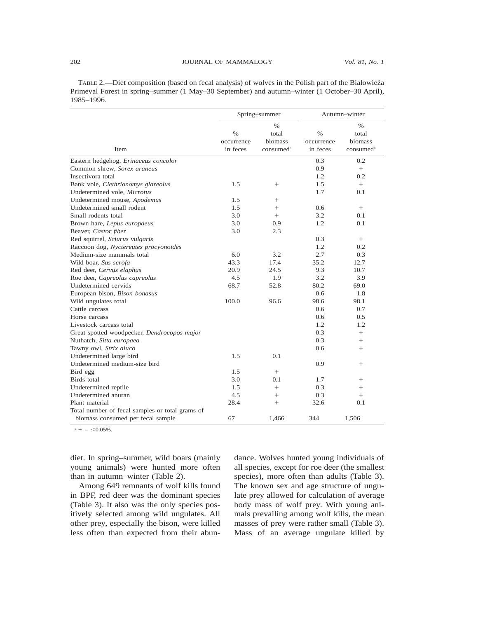TABLE 2.—Diet composition (based on fecal analysis) of wolves in the Polish part of the Białowieża Primeval Forest in spring–summer (1 May–30 September) and autumn–winter (1 October–30 April), 1985–1996.

|                                                 |                                | Spring-summer                                     | Autumn-winter                  |                                                            |  |
|-------------------------------------------------|--------------------------------|---------------------------------------------------|--------------------------------|------------------------------------------------------------|--|
| Item                                            | $\%$<br>occurrence<br>in feces | $\%$<br>total<br>biomass<br>consumed <sup>a</sup> | $\%$<br>occurrence<br>in feces | $\frac{0}{6}$<br>total<br>biomass<br>consumed <sup>a</sup> |  |
| Eastern hedgehog, Erinaceus concolor            |                                |                                                   | 0.3                            | 0.2                                                        |  |
| Common shrew, Sorex araneus                     |                                |                                                   | 0.9                            | $^{+}$                                                     |  |
| Insectivora total                               |                                |                                                   | 1.2                            | 0.2                                                        |  |
| Bank vole, Clethrionomys glareolus              | 1.5                            | $^{+}$                                            | 1.5                            | $+$                                                        |  |
| Undetermined vole, Microtus                     |                                |                                                   | 1.7                            | 0.1                                                        |  |
| Undetermined mouse, Apodemus                    | 1.5                            | $^{+}$                                            |                                |                                                            |  |
| Undetermined small rodent                       | 1.5                            | $^{+}$                                            | 0.6                            | $^{+}$                                                     |  |
| Small rodents total                             | 3.0                            | $+$                                               | 3.2                            | 0.1                                                        |  |
| Brown hare, Lepus europaeus                     | 3.0                            | 0.9                                               | 1.2                            | 0.1                                                        |  |
| Beaver, Castor fiber                            | 3.0                            | 2.3                                               |                                |                                                            |  |
| Red squirrel, Sciurus vulgaris                  |                                |                                                   | 0.3                            | $^{+}$                                                     |  |
| Raccoon dog, Nyctereutes procyonoides           |                                |                                                   | 1.2                            | 0.2                                                        |  |
| Medium-size mammals total                       | 6.0                            | 3.2                                               | 2.7                            | 0.3                                                        |  |
| Wild boar, Sus scrofa                           | 43.3                           | 17.4                                              | 35.2                           | 12.7                                                       |  |
| Red deer, Cervus elaphus                        | 20.9                           | 24.5                                              | 9.3                            | 10.7                                                       |  |
| Roe deer, Capreolus capreolus                   | 4.5                            | 1.9                                               | 3.2                            | 3.9                                                        |  |
| Undetermined cervids                            | 68.7                           | 52.8                                              | 80.2                           | 69.0                                                       |  |
| European bison, Bison bonasus                   |                                |                                                   | 0.6                            | 1.8                                                        |  |
| Wild ungulates total                            | 100.0                          | 96.6                                              | 98.6                           | 98.1                                                       |  |
| Cattle carcass                                  |                                |                                                   | $0.6^{\circ}$                  | 0.7                                                        |  |
| Horse carcass                                   |                                |                                                   | 0.6                            | 0.5                                                        |  |
| Livestock carcass total                         |                                |                                                   | 1.2                            | 1.2                                                        |  |
| Great spotted woodpecker, Dendrocopos major     |                                |                                                   | 0.3                            | $^{+}$                                                     |  |
| Nuthatch, Sitta europaea                        |                                |                                                   | 0.3                            | $^{+}$                                                     |  |
| Tawny owl, Strix aluco                          |                                |                                                   | 0.6                            | $^{+}$                                                     |  |
| Undetermined large bird                         | 1.5                            | 0.1                                               |                                |                                                            |  |
| Undetermined medium-size bird                   |                                |                                                   | 0.9                            | $^{+}$                                                     |  |
| Bird egg                                        | 1.5                            | $+$                                               |                                |                                                            |  |
| Birds total                                     | 3.0                            | 0.1                                               | 1.7                            | $^{+}$                                                     |  |
| Undetermined reptile                            | 1.5                            | $^{+}$                                            | 0.3                            | $^{+}$                                                     |  |
| Undetermined anuran                             | 4.5                            | $^{+}$                                            | 0.3                            | $^{+}$                                                     |  |
| Plant material                                  | 28.4                           | $^{+}$                                            | 32.6                           | 0.1                                                        |  |
| Total number of fecal samples or total grams of |                                |                                                   |                                |                                                            |  |
| biomass consumed per fecal sample               | 67                             | 1,466                                             | 344                            | 1,506                                                      |  |

 $a + 5 < 0.05\%$ 

diet. In spring–summer, wild boars (mainly young animals) were hunted more often than in autumn–winter (Table 2).

Among 649 remnants of wolf kills found in BPF, red deer was the dominant species (Table 3). It also was the only species positively selected among wild ungulates. All other prey, especially the bison, were killed less often than expected from their abundance. Wolves hunted young individuals of all species, except for roe deer (the smallest species), more often than adults (Table 3). The known sex and age structure of ungulate prey allowed for calculation of average body mass of wolf prey. With young animals prevailing among wolf kills, the mean masses of prey were rather small (Table 3). Mass of an average ungulate killed by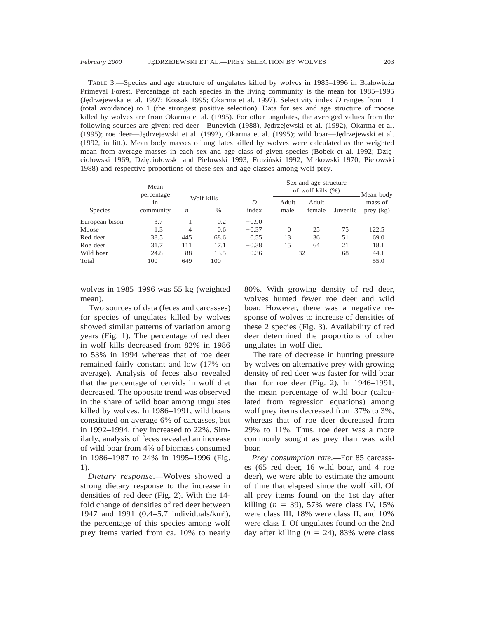TABLE 3.—Species and age structure of ungulates killed by wolves in 1985–1996 in Białowieża Primeval Forest. Percentage of each species in the living community is the mean for 1985–1995 (Jędrzejewska et al. 1997; Kossak 1995; Okarma et al. 1997). Selectivity index *D* ranges from  $-1$ (total avoidance) to 1 (the strongest positive selection). Data for sex and age structure of moose killed by wolves are from Okarma et al. (1995). For other ungulates, the averaged values from the following sources are given: red deer—Bunevich (1988), Jędrzejewski et al. (1992), Okarma et al. (1995); roe deer—Jędrzejewski et al. (1992), Okarma et al. (1995); wild boar—Jędrzejewski et al. (1992, in litt.). Mean body masses of ungulates killed by wolves were calculated as the weighted mean from average masses in each sex and age class of given species (Bobek et al. 1992; Dzieciołowski 1969; Dzięciołowski and Pielowski 1993; Fruziński 1992; Miłkowski 1970; Pielowski 1988) and respective proportions of these sex and age classes among wolf prey.

|                | Mean<br>percentage |                  |                    |            | Sex and age structure<br>of wolf kills $(\%)$ |                 |          | Mean body            |
|----------------|--------------------|------------------|--------------------|------------|-----------------------------------------------|-----------------|----------|----------------------|
| <b>Species</b> | in<br>community    | $\boldsymbol{n}$ | Wolf kills<br>$\%$ | D<br>index | Adult<br>male                                 | Adult<br>female | Juvenile | mass of<br>prey (kg) |
| European bison | 3.7                |                  | 0.2                | $-0.90$    |                                               |                 |          |                      |
| Moose          | 1.3                | 4                | 0.6                | $-0.37$    | $\Omega$                                      | 25              | 75       | 122.5                |
| Red deer       | 38.5               | 445              | 68.6               | 0.55       | 13                                            | 36              | 51       | 69.0                 |
| Roe deer       | 31.7               | 111              | 17.1               | $-0.38$    | 15                                            | 64              | 21       | 18.1                 |
| Wild boar      | 24.8               | 88               | 13.5               | $-0.36$    |                                               | 32              | 68       | 44.1                 |
| Total          | 100                | 649              | 100                |            |                                               |                 |          | 55.0                 |

wolves in 1985–1996 was 55 kg (weighted mean).

Two sources of data (feces and carcasses) for species of ungulates killed by wolves showed similar patterns of variation among years (Fig. 1). The percentage of red deer in wolf kills decreased from 82% in 1986 to 53% in 1994 whereas that of roe deer remained fairly constant and low (17% on average). Analysis of feces also revealed that the percentage of cervids in wolf diet decreased. The opposite trend was observed in the share of wild boar among ungulates killed by wolves. In 1986–1991, wild boars constituted on average 6% of carcasses, but in 1992–1994, they increased to 22%. Similarly, analysis of feces revealed an increase of wild boar from 4% of biomass consumed in 1986–1987 to 24% in 1995–1996 (Fig. 1).

*Dietary response.—*Wolves showed a strong dietary response to the increase in densities of red deer (Fig. 2). With the 14 fold change of densities of red deer between 1947 and 1991 (0.4–5.7 individuals/km2 ), the percentage of this species among wolf prey items varied from ca. 10% to nearly 80%. With growing density of red deer, wolves hunted fewer roe deer and wild boar. However, there was a negative response of wolves to increase of densities of these 2 species (Fig. 3). Availability of red deer determined the proportions of other ungulates in wolf diet.

The rate of decrease in hunting pressure by wolves on alternative prey with growing density of red deer was faster for wild boar than for roe deer (Fig. 2). In 1946–1991, the mean percentage of wild boar (calculated from regression equations) among wolf prey items decreased from 37% to 3%, whereas that of roe deer decreased from 29% to 11%. Thus, roe deer was a more commonly sought as prey than was wild boar.

*Prey consumption rate.—*For 85 carcasses (65 red deer, 16 wild boar, and 4 roe deer), we were able to estimate the amount of time that elapsed since the wolf kill. Of all prey items found on the 1st day after killing  $(n = 39)$ , 57% were class IV, 15% were class III, 18% were class II, and 10% were class I. Of ungulates found on the 2nd day after killing  $(n = 24)$ , 83% were class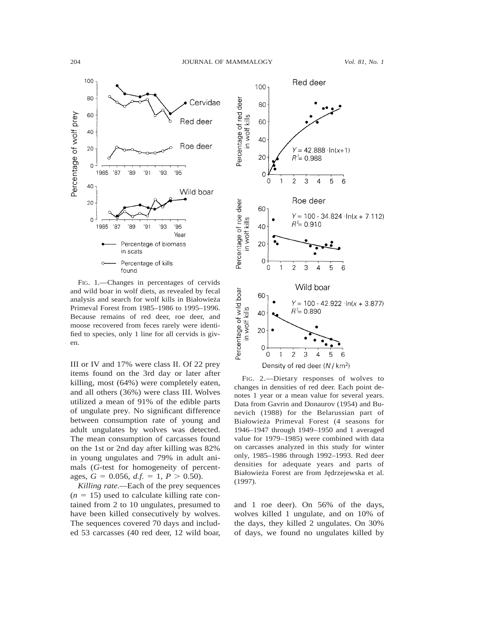

FIG. 1.—Changes in percentages of cervids and wild boar in wolf diets, as revealed by fecal analysis and search for wolf kills in Białowieża Primeval Forest from 1985–1986 to 1995–1996. Because remains of red deer, roe deer, and moose recovered from feces rarely were identified to species, only 1 line for all cervids is given.

III or IV and 17% were class II. Of 22 prey items found on the 3rd day or later after killing, most (64%) were completely eaten, and all others (36%) were class III. Wolves utilized a mean of 91% of the edible parts of ungulate prey. No significant difference between consumption rate of young and adult ungulates by wolves was detected. The mean consumption of carcasses found on the 1st or 2nd day after killing was 82% in young ungulates and 79% in adult animals (*G*-test for homogeneity of percentages,  $G = 0.056$ ,  $d.f. = 1$ ,  $P > 0.50$ ).

*Killing rate.—*Each of the prey sequences  $(n = 15)$  used to calculate killing rate contained from 2 to 10 ungulates, presumed to have been killed consecutively by wolves. The sequences covered 70 days and included 53 carcasses (40 red deer, 12 wild boar,



FIG. 2.—Dietary responses of wolves to changes in densities of red deer. Each point denotes 1 year or a mean value for several years. Data from Gavrin and Donaurov (1954) and Bunevich (1988) for the Belarussian part of Białowieża Primeval Forest (4 seasons for 1946–1947 through 1949–1950 and 1 averaged value for 1979–1985) were combined with data on carcasses analyzed in this study for winter only, 1985–1986 through 1992–1993. Red deer densities for adequate years and parts of Białowieża Forest are from Jędrzejewska et al. (1997).

and 1 roe deer). On 56% of the days, wolves killed 1 ungulate, and on 10% of the days, they killed 2 ungulates. On 30% of days, we found no ungulates killed by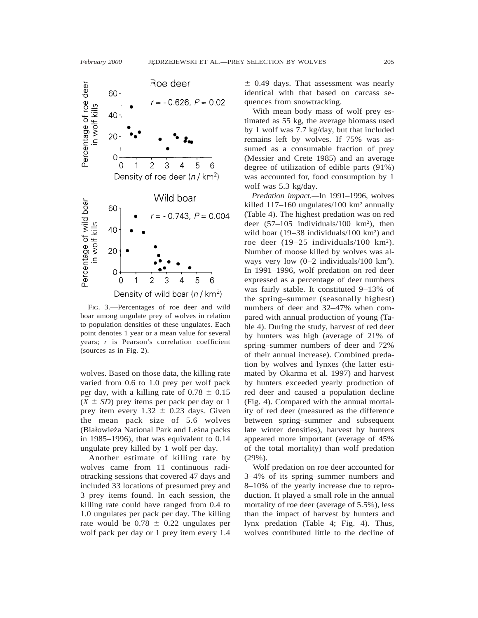

FIG. 3.—Percentages of roe deer and wild boar among ungulate prey of wolves in relation to population densities of these ungulates. Each point denotes 1 year or a mean value for several years; *r* is Pearson's correlation coefficient (sources as in Fig. 2).

wolves. Based on those data, the killing rate varied from 0.6 to 1.0 prey per wolf pack per day, with a killing rate of  $0.78 \pm 0.15$  $(\bar{X} \pm SD)$  prey items per pack per day or 1 prey item every  $1.32 \pm 0.23$  days. Given the mean pack size of 5.6 wolves (Białowieża National Park and Leśna packs in 1985–1996), that was equivalent to 0.14 ungulate prey killed by 1 wolf per day.

Another estimate of killing rate by wolves came from 11 continuous radiotracking sessions that covered 47 days and included 33 locations of presumed prey and 3 prey items found. In each session, the killing rate could have ranged from 0.4 to 1.0 ungulates per pack per day. The killing rate would be  $0.78 \pm 0.22$  ungulates per wolf pack per day or 1 prey item every 1.4

 $\pm$  0.49 days. That assessment was nearly identical with that based on carcass sequences from snowtracking.

With mean body mass of wolf prey estimated as 55 kg, the average biomass used by 1 wolf was 7.7 kg/day, but that included remains left by wolves. If 75% was assumed as a consumable fraction of prey (Messier and Crete 1985) and an average degree of utilization of edible parts (91%) was accounted for, food consumption by 1 wolf was 5.3 kg/day.

*Predation impact.—*In 1991–1996, wolves killed 117-160 ungulates/100 km<sup>2</sup> annually (Table 4). The highest predation was on red deer  $(57-105 \text{ individuals}/100 \text{ km}^2)$ , then wild boar (19–38 individuals/100 km<sup>2</sup>) and roe deer (19–25 individuals/100 km2). Number of moose killed by wolves was always very low  $(0-2 \text{ individuals}/100 \text{ km}^2)$ . In 1991–1996, wolf predation on red deer expressed as a percentage of deer numbers was fairly stable. It constituted 9–13% of the spring–summer (seasonally highest) numbers of deer and 32–47% when compared with annual production of young (Table 4). During the study, harvest of red deer by hunters was high (average of 21% of spring–summer numbers of deer and 72% of their annual increase). Combined predation by wolves and lynxes (the latter estimated by Okarma et al. 1997) and harvest by hunters exceeded yearly production of red deer and caused a population decline (Fig. 4). Compared with the annual mortality of red deer (measured as the difference between spring–summer and subsequent late winter densities), harvest by hunters appeared more important (average of 45% of the total mortality) than wolf predation (29%).

Wolf predation on roe deer accounted for 3–4% of its spring–summer numbers and 8–10% of the yearly increase due to reproduction. It played a small role in the annual mortality of roe deer (average of 5.5%), less than the impact of harvest by hunters and lynx predation (Table 4; Fig. 4). Thus, wolves contributed little to the decline of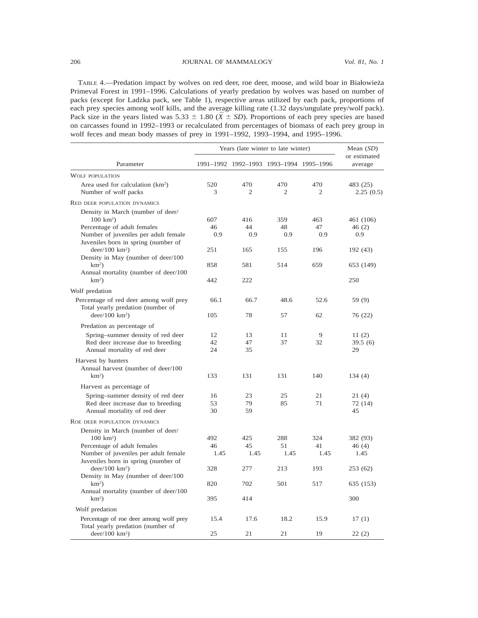### 206 JOURNAL OF MAMMALOGY *Vol. 81, No. 1*

TABLE 4.—Predation impact by wolves on red deer, roe deer, moose, and wild boar in Białowieża Primeval Forest in 1991–1996. Calculations of yearly predation by wolves was based on number of packs (except for Ladzka pack, see Table 1), respective areas utilized by each pack, proportions of each prey species among wolf kills, and the average killing rate (1.32 days/ungulate prey/wolf pack). Pack size in the years listed was 5.33  $\pm$  1.80 ( $\bar{X} \pm SD$ ). Proportions of each prey species are based on carcasses found in 1992–1993 or recalculated from percentages of biomass of each prey group in wolf feces and mean body masses of prey in 1991–1992, 1993–1994, and 1995–1996.

|                                                                                                                                                                         | Years (late winter to late winter) | Mean $(SD)$           |                                         |                       |                           |
|-------------------------------------------------------------------------------------------------------------------------------------------------------------------------|------------------------------------|-----------------------|-----------------------------------------|-----------------------|---------------------------|
| Parameter                                                                                                                                                               |                                    |                       | 1991-1992 1992-1993 1993-1994 1995-1996 |                       | or estimated<br>average   |
| <b>WOLF POPULATION</b>                                                                                                                                                  |                                    |                       |                                         |                       |                           |
| Area used for calculation (km <sup>2</sup> )<br>Number of wolf packs                                                                                                    | 520<br>3                           | 470<br>$\overline{2}$ | 470<br>$\overline{2}$                   | 470<br>$\overline{c}$ | 483 (25)<br>2.25(0.5)     |
| RED DEER POPULATION DYNAMICS                                                                                                                                            |                                    |                       |                                         |                       |                           |
| Density in March (number of deer/<br>$100 \text{ km}^2$ )<br>Percentage of adult females<br>Number of juveniles per adult female<br>Juveniles born in spring (number of | 607<br>46<br>0.9<br>251            | 416<br>44<br>0.9      | 359<br>48<br>0.9                        | 463<br>47<br>0.9      | 461 (106)<br>46(2)<br>0.9 |
| deer/100 km <sup>2</sup> )<br>Density in May (number of deer/100                                                                                                        |                                    | 165                   | 155                                     | 196                   | 192 (43)                  |
| $km^2$ )<br>Annual mortality (number of deer/100                                                                                                                        | 858                                | 581                   | 514                                     | 659                   | 653 (149)                 |
| $km^2$ )                                                                                                                                                                | 442                                | 222                   |                                         |                       | 250                       |
| Wolf predation                                                                                                                                                          |                                    |                       |                                         |                       |                           |
| Percentage of red deer among wolf prey<br>Total yearly predation (number of                                                                                             | 66.1                               | 66.7                  | 48.6                                    | 52.6                  | 59 (9)                    |
| deer/100 km <sup>2</sup> )                                                                                                                                              | 105                                | 78                    | 57                                      | 62                    | 76 (22)                   |
| Predation as percentage of                                                                                                                                              |                                    |                       |                                         |                       |                           |
| Spring-summer density of red deer                                                                                                                                       | 12<br>42                           | 13<br>47              | 11                                      | 9                     | 11 $(2)$                  |
| Red deer increase due to breeding<br>Annual mortality of red deer                                                                                                       | 24                                 | 35                    | 37                                      | 32                    | 39.5(6)<br>29             |
| Harvest by hunters<br>Annual harvest (number of deer/100<br>$km^2$ )                                                                                                    | 133                                | 131                   | 131                                     | 140                   | 134 (4)                   |
| Harvest as percentage of                                                                                                                                                |                                    |                       |                                         |                       |                           |
| Spring-summer density of red deer<br>Red deer increase due to breeding<br>Annual mortality of red deer                                                                  | 16<br>53<br>30                     | 23<br>79<br>59        | 25<br>85                                | 21<br>71              | 21 (4)<br>72 (14)<br>45   |
| ROE DEER POPULATION DYNAMICS                                                                                                                                            |                                    |                       |                                         |                       |                           |
| Density in March (number of deer/<br>$100 \text{ km}^2$ )                                                                                                               | 492                                | 425                   | 288                                     | 324                   | 382 (93)                  |
| Percentage of adult females<br>Number of juveniles per adult female<br>Juveniles born in spring (number of                                                              | 46<br>1.45                         | 45<br>1.45            | 51<br>1.45                              | 41<br>1.45            | 46 (4)<br>1.45            |
| deer/100 km <sup>2</sup> )<br>Density in May (number of deer/100                                                                                                        | 328                                | 277                   | 213                                     | 193                   | 253 (62)                  |
| $km^2$ )<br>Annual mortality (number of deer/100                                                                                                                        | 820                                | 702                   | 501                                     | 517                   | 635 (153)                 |
| $km^2$ )                                                                                                                                                                | 395                                | 414                   |                                         |                       | 300                       |
| Wolf predation                                                                                                                                                          |                                    |                       |                                         |                       |                           |
| Percentage of roe deer among wolf prey<br>Total yearly predation (number of                                                                                             | 15.4                               | 17.6                  | 18.2                                    | 15.9                  | 17(1)                     |
| $deer/100$ km <sup>2</sup> )                                                                                                                                            | 25                                 | 21                    | 21                                      | 19                    | 22(2)                     |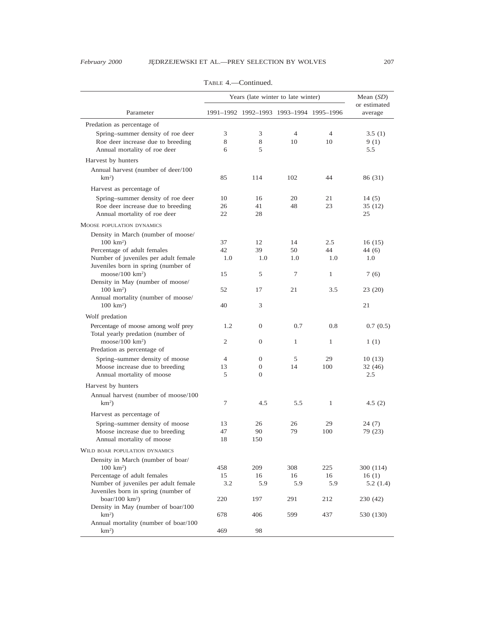|                                                                                                                                   | Years (late winter to late winter) | Mean $(SD)$                             |                      |                      |                          |
|-----------------------------------------------------------------------------------------------------------------------------------|------------------------------------|-----------------------------------------|----------------------|----------------------|--------------------------|
| Parameter                                                                                                                         |                                    | 1991-1992 1992-1993 1993-1994 1995-1996 |                      |                      | or estimated<br>average  |
| Predation as percentage of                                                                                                        |                                    |                                         |                      |                      |                          |
| Spring-summer density of roe deer<br>Roe deer increase due to breeding<br>Annual mortality of roe deer                            | 3<br>8<br>6                        | 3<br>8<br>5                             | $\overline{4}$<br>10 | $\overline{4}$<br>10 | 3.5(1)<br>9(1)<br>5.5    |
| Harvest by hunters                                                                                                                |                                    |                                         |                      |                      |                          |
| Annual harvest (number of deer/100<br>$km2$ )                                                                                     | 85                                 | 114                                     | 102                  | 44                   | 86 (31)                  |
| Harvest as percentage of                                                                                                          |                                    |                                         |                      |                      |                          |
| Spring-summer density of roe deer<br>Roe deer increase due to breeding<br>Annual mortality of roe deer                            | 10<br>26<br>22                     | 16<br>41<br>28                          | 20<br>48             | 21<br>23             | 14(5)<br>35 (12)<br>25   |
| MOOSE POPULATION DYNAMICS                                                                                                         |                                    |                                         |                      |                      |                          |
| Density in March (number of moose/<br>$100 \text{ km}^2$ )<br>Percentage of adult females<br>Number of juveniles per adult female | 37<br>42<br>1.0                    | 12<br>39<br>1.0                         | 14<br>50<br>1.0      | 2.5<br>44<br>1.0     | 16 (15)<br>44 (6)<br>1.0 |
| Juveniles born in spring (number of<br>moose/100 $km^2$ )                                                                         | 15                                 | 5                                       | 7                    | 1                    | 7(6)                     |
| Density in May (number of moose/<br>$100 \text{ km}^2$ )                                                                          | 52                                 | 17                                      | 21                   | 3.5                  | 23 (20)                  |
| Annual mortality (number of moose/<br>$100 \text{ km}^2$ )                                                                        | 40                                 | 3                                       |                      |                      | 21                       |
| Wolf predation                                                                                                                    |                                    |                                         |                      |                      |                          |
| Percentage of moose among wolf prey<br>Total yearly predation (number of                                                          | 1.2                                | $\overline{0}$                          | 0.7                  | 0.8                  | 0.7(0.5)                 |
| $mose/100 \text{ km}^2$<br>Predation as percentage of                                                                             | 2                                  | $\mathbf{0}$                            | $\mathbf{1}$         | 1                    | 1(1)                     |
| Spring-summer density of moose                                                                                                    | $\overline{4}$                     | 0                                       | 5                    | 29                   | 10(13)                   |
| Moose increase due to breeding                                                                                                    | 13                                 | $\theta$                                | 14                   | 100                  | 32 (46)                  |
| Annual mortality of moose                                                                                                         | 5                                  | $\overline{0}$                          |                      |                      | 2.5                      |
| Harvest by hunters                                                                                                                |                                    |                                         |                      |                      |                          |
| Annual harvest (number of moose/100<br>$km^2$ )                                                                                   | 7                                  | 4.5                                     | 5.5                  | 1                    | 4.5(2)                   |
| Harvest as percentage of                                                                                                          |                                    |                                         |                      |                      |                          |
| Spring-summer density of moose                                                                                                    | 13                                 | 26                                      | 26                   | 29                   | 24 (7)                   |
| Moose increase due to breeding<br>Annual mortality of moose                                                                       | 47<br>18                           | 90<br>150                               | 79                   | 100                  | 79 (23)                  |
| WILD BOAR POPULATION DYNAMICS                                                                                                     |                                    |                                         |                      |                      |                          |
| Density in March (number of boar/                                                                                                 |                                    |                                         |                      |                      |                          |
| $100 \text{ km}^2$ )                                                                                                              | 458                                | 209                                     | 308                  | 225                  | 300 (114)                |
| Percentage of adult females                                                                                                       | 15                                 | 16                                      | 16                   | 16                   | 16(1)                    |
| Number of juveniles per adult female<br>Juveniles born in spring (number of                                                       | 3.2                                | 5.9                                     | 5.9                  | 5.9                  | 5.2(1.4)                 |
| boar/100 $km^2$ )<br>Density in May (number of boar/100                                                                           | 220                                | 197                                     | 291                  | 212                  | 230 (42)                 |
| $km^2$ )<br>Annual mortality (number of boar/100                                                                                  | 678                                | 406                                     | 599                  | 437                  | 530 (130)                |
| $km^2$ )                                                                                                                          | 469                                | 98                                      |                      |                      |                          |

TABLE 4.—Continued.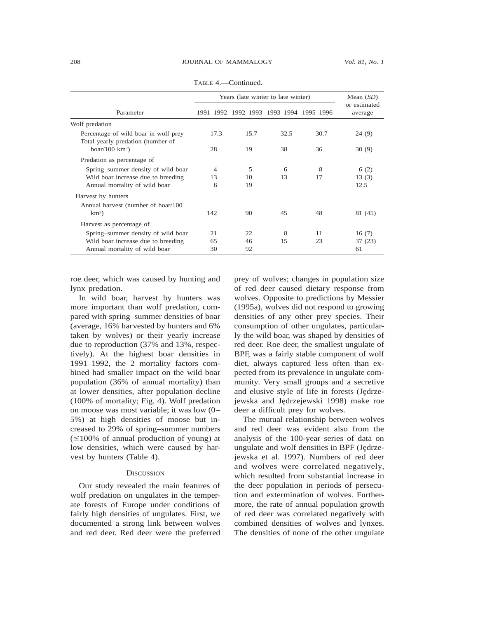|                                                                           | Years (late winter to late winter) | Mean $(SD)$                             |      |      |                         |
|---------------------------------------------------------------------------|------------------------------------|-----------------------------------------|------|------|-------------------------|
| Parameter                                                                 |                                    | 1991-1992 1992-1993 1993-1994 1995-1996 |      |      | or estimated<br>average |
| Wolf predation                                                            |                                    |                                         |      |      |                         |
| Percentage of wild boar in wolf prey<br>Total yearly predation (number of | 17.3                               | 15.7                                    | 32.5 | 30.7 | 24(9)                   |
| boar/100 $km^2$ )                                                         | 28                                 | 19                                      | 38   | 36   | 30(9)                   |
| Predation as percentage of                                                |                                    |                                         |      |      |                         |
| Spring-summer density of wild boar                                        | $\overline{4}$                     | 5                                       | 6    | 8    | 6(2)                    |
| Wild boar increase due to breeding                                        | 13                                 | 10                                      | 13   | 17   | 13(3)                   |
| Annual mortality of wild boar                                             | 6                                  | 19                                      |      |      | 12.5                    |
| Harvest by hunters                                                        |                                    |                                         |      |      |                         |
| Annual harvest (number of boar/100                                        |                                    |                                         |      |      |                         |
| $km^2$ )                                                                  | 142                                | 90                                      | 45   | 48   | 81 (45)                 |
| Harvest as percentage of                                                  |                                    |                                         |      |      |                         |
| Spring-summer density of wild boar                                        | 21                                 | 22                                      | 8    | 11   | 16(7)                   |
| Wild boar increase due to breeding                                        | 65                                 | 46                                      | 15   | 23   | 37 (23)                 |
| Annual mortality of wild boar                                             | 30                                 | 92                                      |      |      | 61                      |

TABLE 4.—Continued.

roe deer, which was caused by hunting and lynx predation.

In wild boar, harvest by hunters was more important than wolf predation, compared with spring–summer densities of boar (average, 16% harvested by hunters and 6% taken by wolves) or their yearly increase due to reproduction (37% and 13%, respectively). At the highest boar densities in 1991–1992, the 2 mortality factors combined had smaller impact on the wild boar population (36% of annual mortality) than at lower densities, after population decline (100% of mortality; Fig. 4). Wolf predation on moose was most variable; it was low (0– 5%) at high densities of moose but increased to 29% of spring–summer numbers  $(\leq 100\%$  of annual production of young) at low densities, which were caused by harvest by hunters (Table 4).

#### **DISCUSSION**

Our study revealed the main features of wolf predation on ungulates in the temperate forests of Europe under conditions of fairly high densities of ungulates. First, we documented a strong link between wolves and red deer. Red deer were the preferred prey of wolves; changes in population size of red deer caused dietary response from wolves. Opposite to predictions by Messier (1995a), wolves did not respond to growing densities of any other prey species. Their consumption of other ungulates, particularly the wild boar, was shaped by densities of red deer. Roe deer, the smallest ungulate of BPF, was a fairly stable component of wolf diet, always captured less often than expected from its prevalence in ungulate community. Very small groups and a secretive and elusive style of life in forests (Jedrzejewska and Jedrzejewski 1998) make roe deer a difficult prey for wolves.

The mutual relationship between wolves and red deer was evident also from the analysis of the 100-year series of data on ungulate and wolf densities in BPF (Jędrzejewska et al. 1997). Numbers of red deer and wolves were correlated negatively, which resulted from substantial increase in the deer population in periods of persecution and extermination of wolves. Furthermore, the rate of annual population growth of red deer was correlated negatively with combined densities of wolves and lynxes. The densities of none of the other ungulate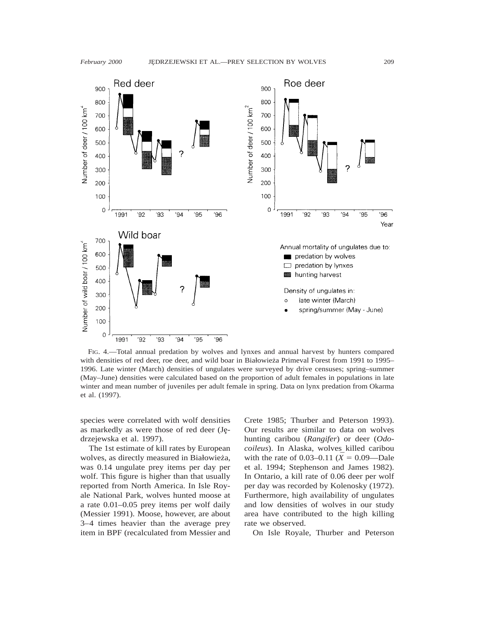

FIG. 4.—Total annual predation by wolves and lynxes and annual harvest by hunters compared with densities of red deer, roe deer, and wild boar in Białowieża Primeval Forest from 1991 to 1995– 1996. Late winter (March) densities of ungulates were surveyed by drive censuses; spring–summer (May–June) densities were calculated based on the proportion of adult females in populations in late winter and mean number of juveniles per adult female in spring. Data on lynx predation from Okarma et al. (1997).

species were correlated with wolf densities as markedly as were those of red deer (Jedrzejewska et al. 1997).

The 1st estimate of kill rates by European wolves, as directly measured in Białowieża, was 0.14 ungulate prey items per day per wolf. This figure is higher than that usually reported from North America. In Isle Royale National Park, wolves hunted moose at a rate 0.01–0.05 prey items per wolf daily (Messier 1991). Moose, however, are about 3–4 times heavier than the average prey item in BPF (recalculated from Messier and Crete 1985; Thurber and Peterson 1993). Our results are similar to data on wolves hunting caribou (*Rangifer*) or deer (*Odocoileus*). In Alaska, wolves killed caribou with the rate of 0.03–0.11 ( $\bar{X} = 0.09$ —Dale et al. 1994; Stephenson and James 1982). In Ontario, a kill rate of 0.06 deer per wolf per day was recorded by Kolenosky (1972). Furthermore, high availability of ungulates and low densities of wolves in our study area have contributed to the high killing rate we observed.

On Isle Royale, Thurber and Peterson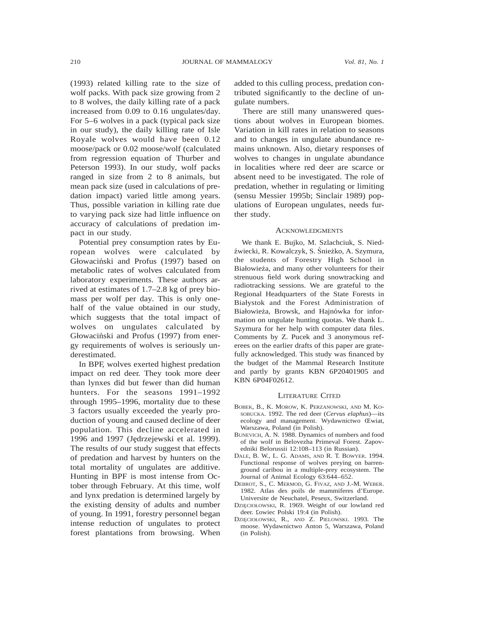(1993) related killing rate to the size of wolf packs. With pack size growing from 2 to 8 wolves, the daily killing rate of a pack increased from 0.09 to 0.16 ungulates/day. For 5–6 wolves in a pack (typical pack size in our study), the daily killing rate of Isle Royale wolves would have been 0.12 moose/pack or 0.02 moose/wolf (calculated from regression equation of Thurber and Peterson 1993). In our study, wolf packs ranged in size from 2 to 8 animals, but mean pack size (used in calculations of predation impact) varied little among years. Thus, possible variation in killing rate due to varying pack size had little influence on accuracy of calculations of predation impact in our study.

Potential prey consumption rates by European wolves were calculated by Głowaciński and Profus (1997) based on metabolic rates of wolves calculated from laboratory experiments. These authors arrived at estimates of 1.7–2.8 kg of prey biomass per wolf per day. This is only onehalf of the value obtained in our study, which suggests that the total impact of wolves on ungulates calculated by Głowaciński and Profus (1997) from energy requirements of wolves is seriously underestimated.

In BPF, wolves exerted highest predation impact on red deer. They took more deer than lynxes did but fewer than did human hunters. For the seasons 1991–1992 through 1995–1996, mortality due to these 3 factors usually exceeded the yearly production of young and caused decline of deer population. This decline accelerated in 1996 and 1997 (Jędrzejewski et al. 1999). The results of our study suggest that effects of predation and harvest by hunters on the total mortality of ungulates are additive. Hunting in BPF is most intense from October through February. At this time, wolf and lynx predation is determined largely by the existing density of adults and number of young. In 1991, forestry personnel began intense reduction of ungulates to protect forest plantations from browsing. When added to this culling process, predation contributed significantly to the decline of ungulate numbers.

There are still many unanswered questions about wolves in European biomes. Variation in kill rates in relation to seasons and to changes in ungulate abundance remains unknown. Also, dietary responses of wolves to changes in ungulate abundance in localities where red deer are scarce or absent need to be investigated. The role of predation, whether in regulating or limiting (sensu Messier 1995b; Sinclair 1989) populations of European ungulates, needs further study.

# **ACKNOWLEDGMENTS**

We thank E. Bujko, M. Szlachciuk, S. Niedźwiecki, R. Kowalczyk, S. Śnieżko, A. Szymura, the students of Forestry High School in Białowieża, and many other volunteers for their strenuous field work during snowtracking and radiotracking sessions. We are grateful to the Regional Headquarters of the State Forests in Białystok and the Forest Administration of Białowieża, Browsk, and Hajnówka for information on ungulate hunting quotas. We thank L. Szymura for her help with computer data files. Comments by Z. Pucek and 3 anonymous referees on the earlier drafts of this paper are gratefully acknowledged. This study was financed by the budget of the Mammal Research Institute and partly by grants KBN 6P20401905 and KBN 6P04F02612.

#### LITERATURE CITED

- BOBEK, B., K. MOROW, K. PERZANOWSKI, AND M. KO-SOBUCKA. 1992. The red deer (*Cervus elaphus*)—its ecology and management. Wydawnictwo Œwiat, Warszawa, Poland (in Polish).
- BUNEVICH, A. N. 1988. Dynamics of numbers and food of the wolf in Belovezha Primeval Forest. Zapovedniki Belorussii 12:108–113 (in Russian).
- DALE, B. W., L. G. ADAMS, AND R. T. BOWYER. 1994. Functional response of wolves preying on barrenground caribou in a multiple-prey ecosystem. The Journal of Animal Ecology 63:644–652.
- DEBROT, S., C. MERMOD, G. FIVAZ, AND J.-M. WEBER. 1982. Atlas des poils de mammiferes d'Europe. Universite de Neuchatel, Peseux, Switzerland.
- DZIĘCIOŁOWSKI, R. 1969. Weight of our lowland red deer. £owiec Polski 19:4 (in Polish).
- DZIĘCIOŁOWSKI, R., AND Z. PIELOWSKI. 1993. The moose. Wydawnictwo Anton 5, Warszawa, Poland (in Polish).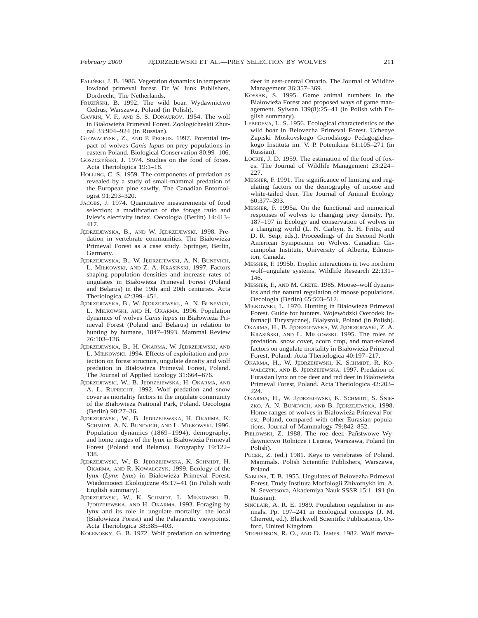- FALIŃSKI, J. B. 1986. Vegetation dynamics in temperate lowland primeval forest. Dr W. Junk Publishers, Dordrecht, The Netherlands.
- FRUZIŃSKI, B. 1992. The wild boar. Wydawnictwo Cedrus, Warszawa, Poland (in Polish).
- GAVRIN, V. F., AND S. S. DONAUROV. 1954. The wolf in Białowieża Primeval Forest. Zoologicheskii Zhurnal 33:904–924 (in Russian).
- GŁOWACIŃSKI, Z., AND P. PROFUS. 1997. Potential impact of wolves *Canis lupus* on prey populations in eastern Poland. Biological Conservation 80:99–106.
- GOSZCZYŃSKI, J. 1974. Studies on the food of foxes. Acta Theriologica 19:1–18.
- HOLLING, C. S. 1959. The components of predation as revealed by a study of small-mammal predation of the European pine sawfly. The Canadian Entomologist 91:293–320.
- JACOBS, J. 1974. Quantitative measurements of food selection; a modification of the forage ratio and Ivlev's electivity index. Oecologia (Berlin) 14:413– 417.
- JĘDRZEJEWSKA, B., AND W. JĘDRZEJEWSKI. 1998. Predation in vertebrate communities. The Białowieża Primeval Forest as a case study. Springer, Berlin, Germany.
- JĘDRZEJEWSKA, B., W. JĘDRZEJEWSKI, A. N. BUNEVICH, L. MIŁKOWSKI, AND Z. A. KRASIŃSKI. 1997. Factors shaping population densities and increase rates of ungulates in Białowieża Primeval Forest (Poland and Belarus) in the 19th and 20th centuries. Acta Theriologica 42:399–451.
- JĘDRZEJEWSKA, B., W. JĘDRZEJEWSKI., A. N. BUNEVICH, L. MIŁKOWSKI, AND H. OKARMA. 1996. Population dynamics of wolves *Canis lupus* in Białowieża Primeval Forest (Poland and Belarus) in relation to hunting by humans, 1847–1993. Mammal Review 26:103–126.
- JĘDRZEJEWSKA, B., H. OKARMA, W. JĘDRZEJEWSKI, AND L. MIŁKOWSKI. 1994. Effects of exploitation and protection on forest structure, ungulate density and wolf predation in Białowieża Primeval Forest, Poland. The Journal of Applied Ecology 31:664–676.
- JĘDRZEJEWSKI, W., B. JĘDRZEJEWSKA, H. OKARMA, AND A. L. RUPRECHT. 1992. Wolf predation and snow cover as mortality factors in the ungulate community of the Białowieża National Park, Poland. Oecologia (Berlin) 90:27–36.
- JEDRZEJEWSKI, W., B. JEDRZEJEWSKA, H. OKARMA, K. SCHMIDT, A. N. BUNEVICH, AND L. MIŁKOWSKI. 1996. Population dynamics (1869–1994), demography, and home ranges of the lynx in Białowieża Primeval Forest (Poland and Belarus). Ecography 19:122– 138.
- JEDRZEJEWSKI, W., B. JEDRZEJEWSKA, K. SCHMIDT, H. OKARMA, AND R. KOWALCZYK. 1999. Ecology of the lynx (Lynx lynx) in Białowieża Primeval Forest. Wiadomoœci Ekologiczne 45:17–41 (in Polish with English summary).
- JĘDRZEJEWSKI, W., K. SCHMIDT, L. MIŁKOWSKI, B. JĘDRZEJEWSKA, AND H. OKARMA. 1993. Foraging by lynx and its role in ungulate mortality: the local (Białowieża Forest) and the Palaearctic viewpoints. Acta Theriologica 38:385–403.
- KOLENOSKY, G. B. 1972. Wolf predation on wintering

deer in east-central Ontario. The Journal of Wildlife Management 36:357–369.

- KOSSAK, S. 1995. Game animal numbers in the Białowieża Forest and proposed ways of game management. Sylwan 139(8):25–41 (in Polish with English summary).
- LEBEDEVA, L. S. 1956. Ecological characteristics of the wild boar in Belovezha Primeval Forest. Uchenye Zapiski Moskovskogo Gorodskogo Pedagogicheskogo Instituta im. V. P. Potemkina 61:105–271 (in Russian).
- LOCKIE, J. D. 1959. The estimation of the food of foxes. The Journal of Wildlife Management 23:224– 227.
- MESSIER, F. 1991. The significance of limiting and regulating factors on the demography of moose and white-tailed deer. The Journal of Animal Ecology 60:377–393.
- MESSIER, F. 1995a. On the functional and numerical responses of wolves to changing prey density. Pp. 187–197 in Ecology and conservation of wolves in a changing world (L. N. Carbyn, S. H. Fritts, and D. R. Seip, eds.). Proceedings of the Second North American Symposium on Wolves. Canadian Circumpolar Institute, University of Alberta, Edmonton, Canada.
- MESSIER, F. 1995b. Trophic interactions in two northern wolf–ungulate systems. Wildlife Research 22:131– 146.
- MESSIER, F., AND M. CRETE. 1985. Moose–wolf dynamics and the natural regulation of moose populations. Oecologia (Berlin) 65:503–512.
- MIŁKOWSKI, L. 1970. Hunting in Białowieża Primeval Forest. Guide for hunters. Wojewódzki Oœrodek Infomacji Turystycznej, Białystok, Poland (in Polish).
- OKARMA, H., B. JEDRZEJEWSKA, W. JEDRZEJEWSKI, Z. A. KRASIŃSKI, AND L. MIŁKOWSKI. 1995. The roles of predation, snow cover, acorn crop, and man-related factors on ungulate mortality in Białowieża Primeval Forest, Poland. Acta Theriologica 40:197–217.
- OKARMA, H., W. JEDRZEJEWSKI, K. SCHMIDT, R. KO-WALCZYK, AND B. JĘDRZEJEWSKA. 1997. Predation of Eurasian lynx on roe deer and red deer in Białowieża Primeval Forest, Poland. Acta Theriologica 42:203– 224.
- OKARMA, H., W. JEDRZEJEWSKI, K. SCHMIDT, S. ŚNIE-ŻKO, A. N. BUNEVICH, AND B. JEDRZEJEWSKA. 1998. Home ranges of wolves in Białowieża Primeval Forest, Poland, compared with other Eurasian populations. Journal of Mammalogy 79:842–852.
- PIELOWSKI, Z. 1988. The roe deer. Pañstwowe Wydawnictwo Rolnicze i Leœne, Warszawa, Poland (in Polish).
- PUCEK, Z. (ed.) 1981. Keys to vertebrates of Poland. Mammals. Polish Scientific Publishers, Warszawa, Poland.
- SABLINA, T. B. 1955. Ungulates of Belovezha Primeval Forest. Trudy Instituta Morfologii Zhivotnykh im. A. N. Severtsova, Akademiya Nauk SSSR 15:1–191 (in Russian).
- SINCLAIR, A. R. E. 1989. Population regulation in animals. Pp. 197–241 in Ecological concepts (J. M. Cherrett, ed.). Blackwell Scientific Publications, Oxford, United Kingdom.
- STEPHENSON, R. O., AND D. JAMES. 1982. Wolf move-